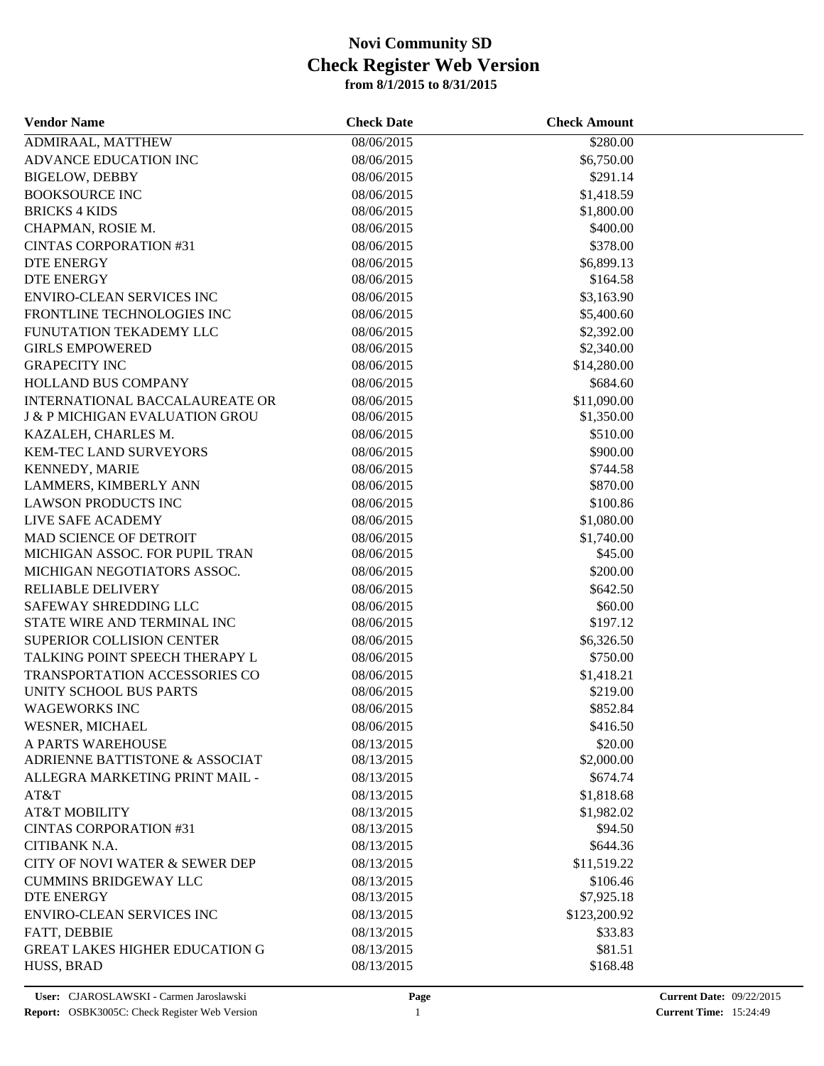| <b>Vendor Name</b>                        | <b>Check Date</b> | <b>Check Amount</b> |  |
|-------------------------------------------|-------------------|---------------------|--|
| ADMIRAAL, MATTHEW                         | 08/06/2015        | \$280.00            |  |
| ADVANCE EDUCATION INC                     | 08/06/2015        | \$6,750.00          |  |
| <b>BIGELOW, DEBBY</b>                     | 08/06/2015        | \$291.14            |  |
| <b>BOOKSOURCE INC</b>                     | 08/06/2015        | \$1,418.59          |  |
| <b>BRICKS 4 KIDS</b>                      | 08/06/2015        | \$1,800.00          |  |
| CHAPMAN, ROSIE M.                         | 08/06/2015        | \$400.00            |  |
| <b>CINTAS CORPORATION #31</b>             | 08/06/2015        | \$378.00            |  |
| DTE ENERGY                                | 08/06/2015        | \$6,899.13          |  |
| <b>DTE ENERGY</b>                         | 08/06/2015        | \$164.58            |  |
| <b>ENVIRO-CLEAN SERVICES INC</b>          | 08/06/2015        | \$3,163.90          |  |
| FRONTLINE TECHNOLOGIES INC                | 08/06/2015        | \$5,400.60          |  |
| FUNUTATION TEKADEMY LLC                   | 08/06/2015        | \$2,392.00          |  |
| <b>GIRLS EMPOWERED</b>                    | 08/06/2015        | \$2,340.00          |  |
| <b>GRAPECITY INC</b>                      | 08/06/2015        | \$14,280.00         |  |
| HOLLAND BUS COMPANY                       | 08/06/2015        | \$684.60            |  |
| INTERNATIONAL BACCALAUREATE OR            | 08/06/2015        | \$11,090.00         |  |
| <b>J &amp; P MICHIGAN EVALUATION GROU</b> | 08/06/2015        | \$1,350.00          |  |
| KAZALEH, CHARLES M.                       | 08/06/2015        | \$510.00            |  |
| KEM-TEC LAND SURVEYORS                    | 08/06/2015        | \$900.00            |  |
| <b>KENNEDY, MARIE</b>                     | 08/06/2015        | \$744.58            |  |
| LAMMERS, KIMBERLY ANN                     | 08/06/2015        | \$870.00            |  |
| <b>LAWSON PRODUCTS INC</b>                | 08/06/2015        | \$100.86            |  |
| LIVE SAFE ACADEMY                         | 08/06/2015        | \$1,080.00          |  |
| MAD SCIENCE OF DETROIT                    | 08/06/2015        | \$1,740.00          |  |
| MICHIGAN ASSOC. FOR PUPIL TRAN            | 08/06/2015        | \$45.00             |  |
| MICHIGAN NEGOTIATORS ASSOC.               | 08/06/2015        | \$200.00            |  |
| <b>RELIABLE DELIVERY</b>                  | 08/06/2015        | \$642.50            |  |
| SAFEWAY SHREDDING LLC                     | 08/06/2015        | \$60.00             |  |
| STATE WIRE AND TERMINAL INC               | 08/06/2015        | \$197.12            |  |
| SUPERIOR COLLISION CENTER                 | 08/06/2015        | \$6,326.50          |  |
| TALKING POINT SPEECH THERAPY L            | 08/06/2015        | \$750.00            |  |
| <b>TRANSPORTATION ACCESSORIES CO</b>      | 08/06/2015        | \$1,418.21          |  |
| <b>UNITY SCHOOL BUS PARTS</b>             | 08/06/2015        | \$219.00            |  |
| <b>WAGEWORKS INC</b>                      | 08/06/2015        | \$852.84            |  |
| WESNER, MICHAEL                           | 08/06/2015        | \$416.50            |  |
| A PARTS WAREHOUSE                         | 08/13/2015        | \$20.00             |  |
| ADRIENNE BATTISTONE & ASSOCIAT            | 08/13/2015        | \$2,000.00          |  |
| ALLEGRA MARKETING PRINT MAIL -            | 08/13/2015        | \$674.74            |  |
| AT&T                                      | 08/13/2015        | \$1,818.68          |  |
| <b>AT&amp;T MOBILITY</b>                  | 08/13/2015        | \$1,982.02          |  |
| <b>CINTAS CORPORATION #31</b>             | 08/13/2015        | \$94.50             |  |
| CITIBANK N.A.                             | 08/13/2015        | \$644.36            |  |
| CITY OF NOVI WATER & SEWER DEP            | 08/13/2015        | \$11,519.22         |  |
| <b>CUMMINS BRIDGEWAY LLC</b>              | 08/13/2015        | \$106.46            |  |
| DTE ENERGY                                | 08/13/2015        | \$7,925.18          |  |
| ENVIRO-CLEAN SERVICES INC                 | 08/13/2015        | \$123,200.92        |  |
| FATT, DEBBIE                              | 08/13/2015        | \$33.83             |  |
| <b>GREAT LAKES HIGHER EDUCATION G</b>     | 08/13/2015        | \$81.51             |  |
| HUSS, BRAD                                | 08/13/2015        | \$168.48            |  |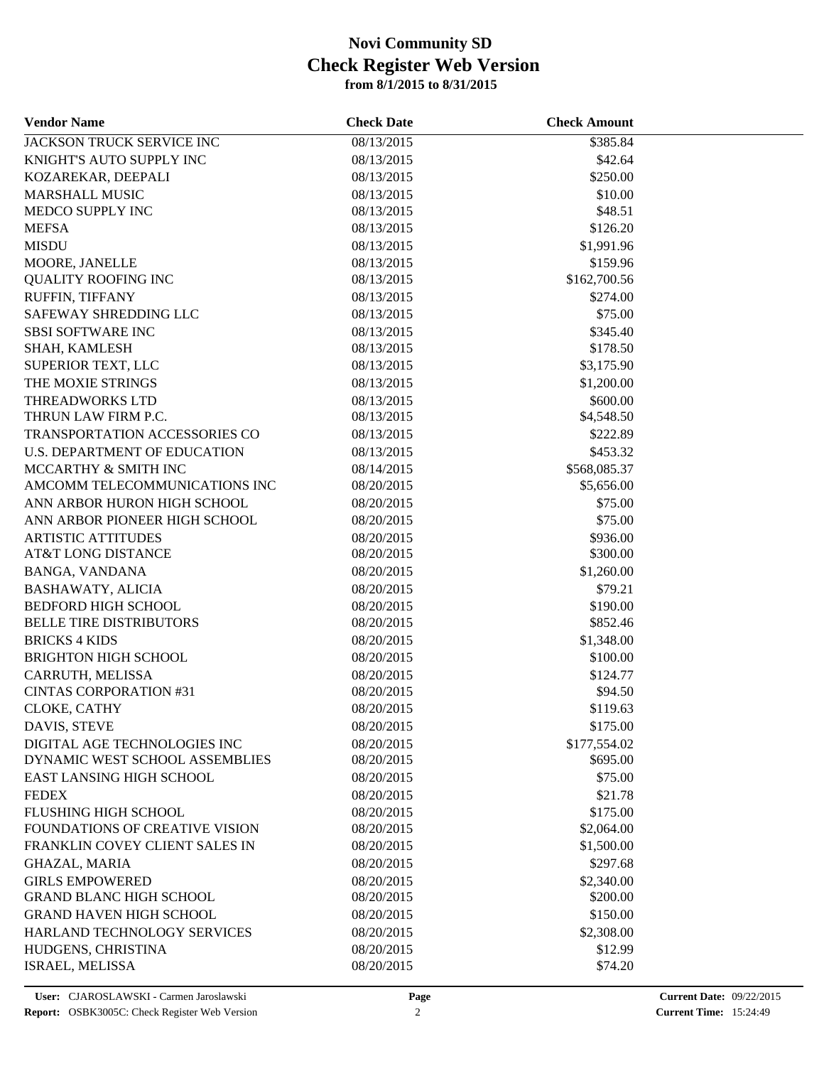| <b>Vendor Name</b>                   | <b>Check Date</b> | <b>Check Amount</b> |  |
|--------------------------------------|-------------------|---------------------|--|
| <b>JACKSON TRUCK SERVICE INC</b>     | 08/13/2015        | \$385.84            |  |
| KNIGHT'S AUTO SUPPLY INC             | 08/13/2015        | \$42.64             |  |
| KOZAREKAR, DEEPALI                   | 08/13/2015        | \$250.00            |  |
| <b>MARSHALL MUSIC</b>                | 08/13/2015        | \$10.00             |  |
| MEDCO SUPPLY INC                     | 08/13/2015        | \$48.51             |  |
| <b>MEFSA</b>                         | 08/13/2015        | \$126.20            |  |
| <b>MISDU</b>                         | 08/13/2015        | \$1,991.96          |  |
| MOORE, JANELLE                       | 08/13/2015        | \$159.96            |  |
| <b>QUALITY ROOFING INC</b>           | 08/13/2015        | \$162,700.56        |  |
| RUFFIN, TIFFANY                      | 08/13/2015        | \$274.00            |  |
| SAFEWAY SHREDDING LLC                | 08/13/2015        | \$75.00             |  |
| <b>SBSI SOFTWARE INC</b>             | 08/13/2015        | \$345.40            |  |
| SHAH, KAMLESH                        | 08/13/2015        | \$178.50            |  |
| SUPERIOR TEXT, LLC                   | 08/13/2015        | \$3,175.90          |  |
| THE MOXIE STRINGS                    | 08/13/2015        | \$1,200.00          |  |
| <b>THREADWORKS LTD</b>               | 08/13/2015        | \$600.00            |  |
| THRUN LAW FIRM P.C.                  | 08/13/2015        | \$4,548.50          |  |
| <b>TRANSPORTATION ACCESSORIES CO</b> | 08/13/2015        | \$222.89            |  |
| <b>U.S. DEPARTMENT OF EDUCATION</b>  | 08/13/2015        | \$453.32            |  |
| MCCARTHY & SMITH INC                 | 08/14/2015        | \$568,085.37        |  |
| AMCOMM TELECOMMUNICATIONS INC        | 08/20/2015        | \$5,656.00          |  |
| ANN ARBOR HURON HIGH SCHOOL          | 08/20/2015        | \$75.00             |  |
| ANN ARBOR PIONEER HIGH SCHOOL        | 08/20/2015        | \$75.00             |  |
| <b>ARTISTIC ATTITUDES</b>            | 08/20/2015        | \$936.00            |  |
| <b>AT&amp;T LONG DISTANCE</b>        | 08/20/2015        | \$300.00            |  |
| BANGA, VANDANA                       | 08/20/2015        | \$1,260.00          |  |
| <b>BASHAWATY, ALICIA</b>             | 08/20/2015        | \$79.21             |  |
| <b>BEDFORD HIGH SCHOOL</b>           | 08/20/2015        | \$190.00            |  |
| <b>BELLE TIRE DISTRIBUTORS</b>       | 08/20/2015        | \$852.46            |  |
| <b>BRICKS 4 KIDS</b>                 | 08/20/2015        | \$1,348.00          |  |
| <b>BRIGHTON HIGH SCHOOL</b>          | 08/20/2015        | \$100.00            |  |
| CARRUTH, MELISSA                     | 08/20/2015        | \$124.77            |  |
| <b>CINTAS CORPORATION #31</b>        | 08/20/2015        | \$94.50             |  |
| CLOKE, CATHY                         | 08/20/2015        | \$119.63            |  |
| DAVIS, STEVE                         | 08/20/2015        | \$175.00            |  |
| DIGITAL AGE TECHNOLOGIES INC         | 08/20/2015        | \$177,554.02        |  |
| DYNAMIC WEST SCHOOL ASSEMBLIES       | 08/20/2015        | \$695.00            |  |
| EAST LANSING HIGH SCHOOL             | 08/20/2015        | \$75.00             |  |
| <b>FEDEX</b>                         | 08/20/2015        | \$21.78             |  |
| FLUSHING HIGH SCHOOL                 | 08/20/2015        | \$175.00            |  |
| FOUNDATIONS OF CREATIVE VISION       | 08/20/2015        | \$2,064.00          |  |
| FRANKLIN COVEY CLIENT SALES IN       | 08/20/2015        | \$1,500.00          |  |
| <b>GHAZAL, MARIA</b>                 | 08/20/2015        | \$297.68            |  |
| <b>GIRLS EMPOWERED</b>               | 08/20/2015        | \$2,340.00          |  |
| <b>GRAND BLANC HIGH SCHOOL</b>       | 08/20/2015        | \$200.00            |  |
| <b>GRAND HAVEN HIGH SCHOOL</b>       | 08/20/2015        | \$150.00            |  |
| HARLAND TECHNOLOGY SERVICES          | 08/20/2015        | \$2,308.00          |  |
| HUDGENS, CHRISTINA                   | 08/20/2015        | \$12.99             |  |
| ISRAEL, MELISSA                      | 08/20/2015        | \$74.20             |  |
|                                      |                   |                     |  |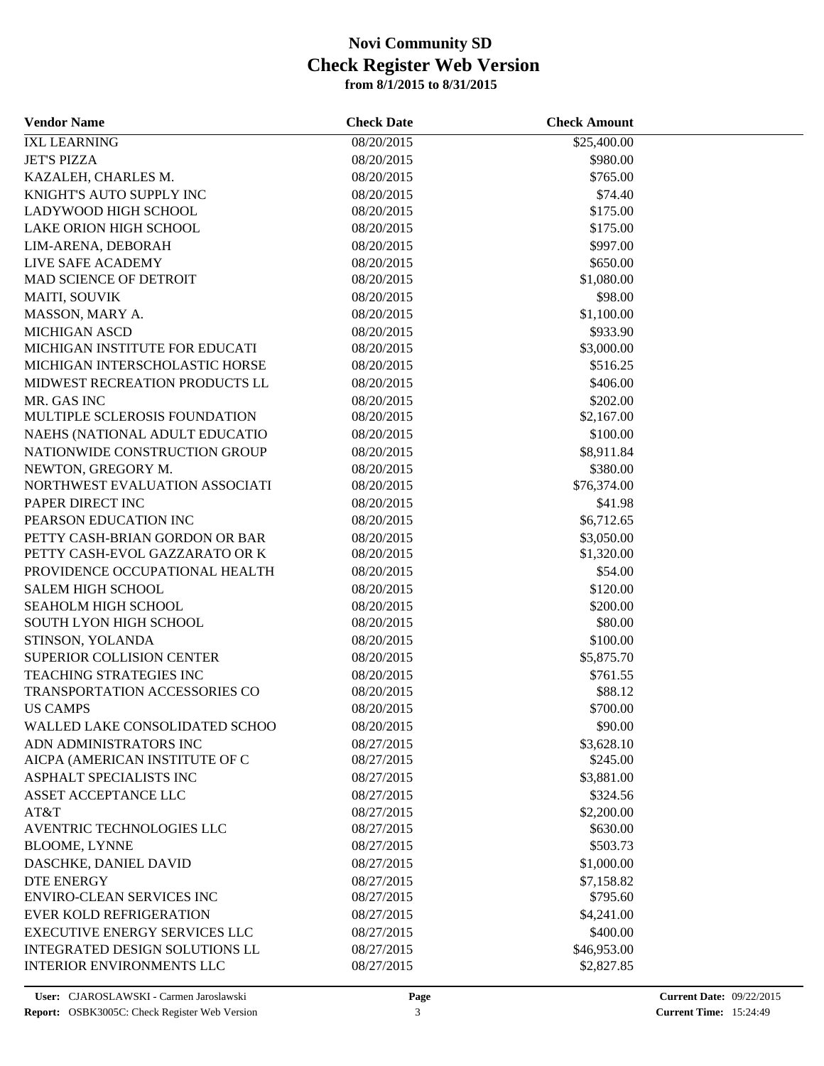| <b>Vendor Name</b>                   | <b>Check Date</b> | <b>Check Amount</b> |  |
|--------------------------------------|-------------------|---------------------|--|
| <b>IXL LEARNING</b>                  | 08/20/2015        | \$25,400.00         |  |
| <b>JET'S PIZZA</b>                   | 08/20/2015        | \$980.00            |  |
| KAZALEH, CHARLES M.                  | 08/20/2015        | \$765.00            |  |
| KNIGHT'S AUTO SUPPLY INC             | 08/20/2015        | \$74.40             |  |
| LADYWOOD HIGH SCHOOL                 | 08/20/2015        | \$175.00            |  |
| LAKE ORION HIGH SCHOOL               | 08/20/2015        | \$175.00            |  |
| LIM-ARENA, DEBORAH                   | 08/20/2015        | \$997.00            |  |
| LIVE SAFE ACADEMY                    | 08/20/2015        | \$650.00            |  |
| <b>MAD SCIENCE OF DETROIT</b>        | 08/20/2015        | \$1,080.00          |  |
| <b>MAITI, SOUVIK</b>                 | 08/20/2015        | \$98.00             |  |
| MASSON, MARY A.                      | 08/20/2015        | \$1,100.00          |  |
| <b>MICHIGAN ASCD</b>                 | 08/20/2015        | \$933.90            |  |
| MICHIGAN INSTITUTE FOR EDUCATI       | 08/20/2015        | \$3,000.00          |  |
| MICHIGAN INTERSCHOLASTIC HORSE       | 08/20/2015        | \$516.25            |  |
| MIDWEST RECREATION PRODUCTS LL       | 08/20/2015        | \$406.00            |  |
| MR. GAS INC                          | 08/20/2015        | \$202.00            |  |
| MULTIPLE SCLEROSIS FOUNDATION        | 08/20/2015        | \$2,167.00          |  |
| NAEHS (NATIONAL ADULT EDUCATIO       | 08/20/2015        | \$100.00            |  |
| NATIONWIDE CONSTRUCTION GROUP        | 08/20/2015        | \$8,911.84          |  |
| NEWTON, GREGORY M.                   | 08/20/2015        | \$380.00            |  |
| NORTHWEST EVALUATION ASSOCIATI       | 08/20/2015        | \$76,374.00         |  |
| PAPER DIRECT INC                     | 08/20/2015        | \$41.98             |  |
| PEARSON EDUCATION INC                | 08/20/2015        | \$6,712.65          |  |
| PETTY CASH-BRIAN GORDON OR BAR       | 08/20/2015        | \$3,050.00          |  |
| PETTY CASH-EVOL GAZZARATO OR K       | 08/20/2015        | \$1,320.00          |  |
| PROVIDENCE OCCUPATIONAL HEALTH       | 08/20/2015        | \$54.00             |  |
| <b>SALEM HIGH SCHOOL</b>             | 08/20/2015        | \$120.00            |  |
| SEAHOLM HIGH SCHOOL                  | 08/20/2015        | \$200.00            |  |
| SOUTH LYON HIGH SCHOOL               | 08/20/2015        | \$80.00             |  |
| STINSON, YOLANDA                     | 08/20/2015        | \$100.00            |  |
| SUPERIOR COLLISION CENTER            | 08/20/2015        | \$5,875.70          |  |
| <b>TEACHING STRATEGIES INC</b>       | 08/20/2015        | \$761.55            |  |
| <b>TRANSPORTATION ACCESSORIES CO</b> | 08/20/2015        | \$88.12             |  |
| <b>US CAMPS</b>                      | 08/20/2015        | \$700.00            |  |
| WALLED LAKE CONSOLIDATED SCHOO       | 08/20/2015        | \$90.00             |  |
| ADN ADMINISTRATORS INC               | 08/27/2015        | \$3,628.10          |  |
| AICPA (AMERICAN INSTITUTE OF C       | 08/27/2015        | \$245.00            |  |
| ASPHALT SPECIALISTS INC              | 08/27/2015        | \$3,881.00          |  |
| ASSET ACCEPTANCE LLC                 | 08/27/2015        | \$324.56            |  |
| AT&T                                 | 08/27/2015        | \$2,200.00          |  |
| AVENTRIC TECHNOLOGIES LLC            | 08/27/2015        | \$630.00            |  |
| <b>BLOOME, LYNNE</b>                 | 08/27/2015        | \$503.73            |  |
| DASCHKE, DANIEL DAVID                | 08/27/2015        | \$1,000.00          |  |
| <b>DTE ENERGY</b>                    | 08/27/2015        | \$7,158.82          |  |
| <b>ENVIRO-CLEAN SERVICES INC</b>     | 08/27/2015        | \$795.60            |  |
| <b>EVER KOLD REFRIGERATION</b>       | 08/27/2015        | \$4,241.00          |  |
| <b>EXECUTIVE ENERGY SERVICES LLC</b> | 08/27/2015        | \$400.00            |  |
| INTEGRATED DESIGN SOLUTIONS LL       | 08/27/2015        | \$46,953.00         |  |
| <b>INTERIOR ENVIRONMENTS LLC</b>     | 08/27/2015        | \$2,827.85          |  |
|                                      |                   |                     |  |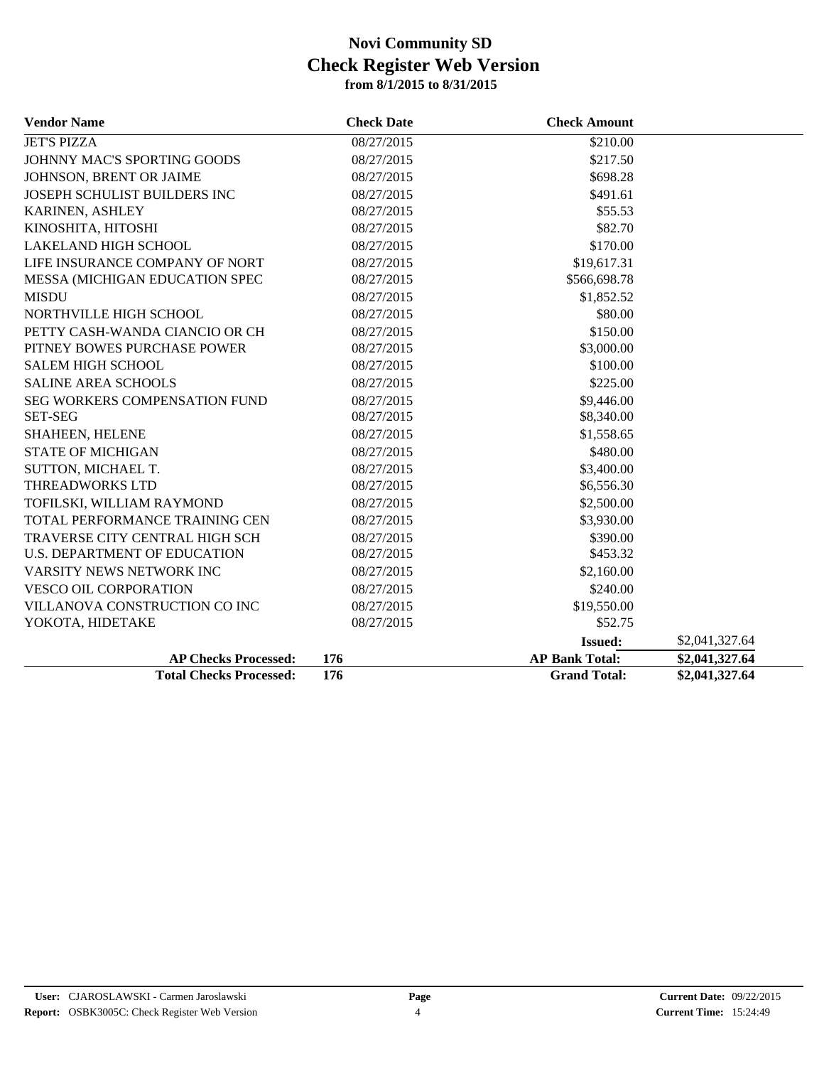| <b>Vendor Name</b>                   | <b>Check Date</b> | <b>Check Amount</b>   |                |
|--------------------------------------|-------------------|-----------------------|----------------|
| <b>JET'S PIZZA</b>                   | 08/27/2015        | \$210.00              |                |
| JOHNNY MAC'S SPORTING GOODS          | 08/27/2015        | \$217.50              |                |
| JOHNSON, BRENT OR JAIME              | 08/27/2015        | \$698.28              |                |
| JOSEPH SCHULIST BUILDERS INC         | 08/27/2015        | \$491.61              |                |
| KARINEN, ASHLEY                      | 08/27/2015        | \$55.53               |                |
| KINOSHITA, HITOSHI                   | 08/27/2015        | \$82.70               |                |
| <b>LAKELAND HIGH SCHOOL</b>          | 08/27/2015        | \$170.00              |                |
| LIFE INSURANCE COMPANY OF NORT       | 08/27/2015        | \$19,617.31           |                |
| MESSA (MICHIGAN EDUCATION SPEC       | 08/27/2015        | \$566,698.78          |                |
| <b>MISDU</b>                         | 08/27/2015        | \$1,852.52            |                |
| NORTHVILLE HIGH SCHOOL               | 08/27/2015        | \$80.00               |                |
| PETTY CASH-WANDA CIANCIO OR CH       | 08/27/2015        | \$150.00              |                |
| PITNEY BOWES PURCHASE POWER          | 08/27/2015        | \$3,000.00            |                |
| <b>SALEM HIGH SCHOOL</b>             | 08/27/2015        | \$100.00              |                |
| <b>SALINE AREA SCHOOLS</b>           | 08/27/2015        | \$225.00              |                |
| <b>SEG WORKERS COMPENSATION FUND</b> | 08/27/2015        | \$9,446.00            |                |
| <b>SET-SEG</b>                       | 08/27/2015        | \$8,340.00            |                |
| SHAHEEN, HELENE                      | 08/27/2015        | \$1,558.65            |                |
| <b>STATE OF MICHIGAN</b>             | 08/27/2015        | \$480.00              |                |
| SUTTON, MICHAEL T.                   | 08/27/2015        | \$3,400.00            |                |
| THREADWORKS LTD                      | 08/27/2015        | \$6,556.30            |                |
| TOFILSKI, WILLIAM RAYMOND            | 08/27/2015        | \$2,500.00            |                |
| TOTAL PERFORMANCE TRAINING CEN       | 08/27/2015        | \$3,930.00            |                |
| TRAVERSE CITY CENTRAL HIGH SCH       | 08/27/2015        | \$390.00              |                |
| <b>U.S. DEPARTMENT OF EDUCATION</b>  | 08/27/2015        | \$453.32              |                |
| VARSITY NEWS NETWORK INC             | 08/27/2015        | \$2,160.00            |                |
| <b>VESCO OIL CORPORATION</b>         | 08/27/2015        | \$240.00              |                |
| VILLANOVA CONSTRUCTION CO INC        | 08/27/2015        | \$19,550.00           |                |
| YOKOTA, HIDETAKE                     | 08/27/2015        | \$52.75               |                |
|                                      |                   | <b>Issued:</b>        | \$2,041,327.64 |
| <b>AP Checks Processed:</b>          | 176               | <b>AP Bank Total:</b> | \$2,041,327.64 |
| <b>Total Checks Processed:</b>       | 176               | <b>Grand Total:</b>   | \$2,041,327.64 |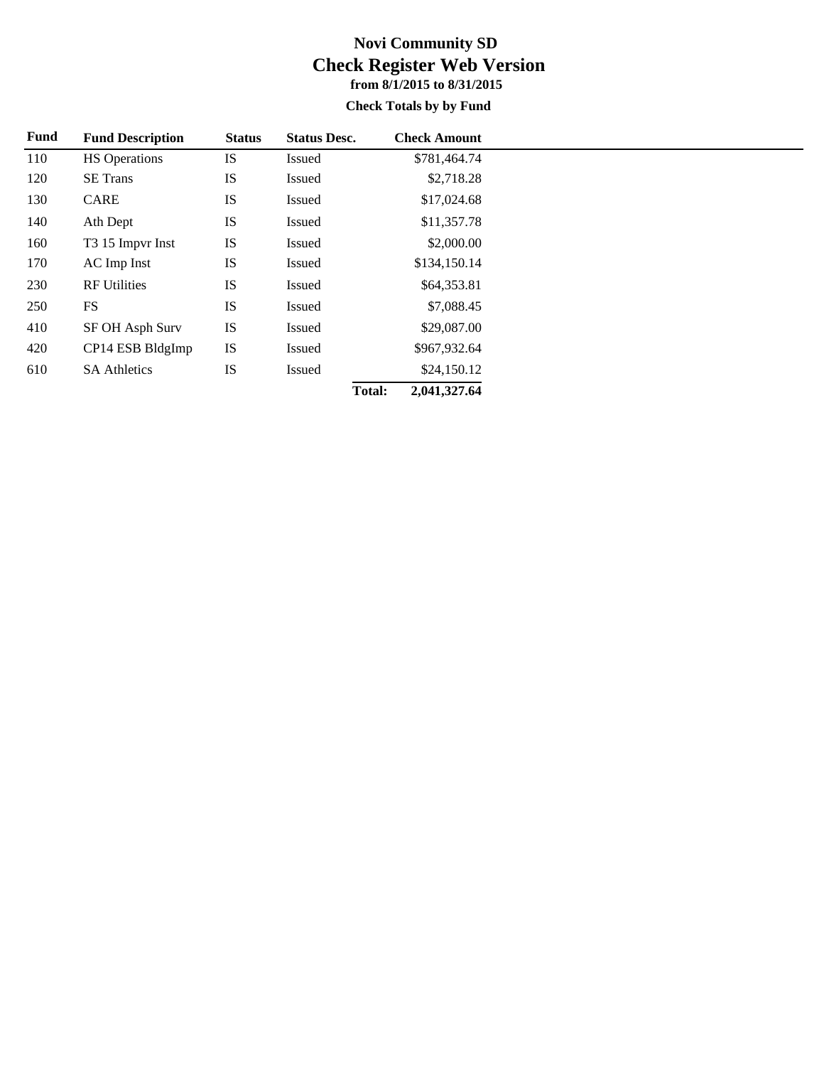#### **Check Totals by by Fund**

| Fund | <b>Fund Description</b> | <b>Status</b> | <b>Status Desc.</b> |               | <b>Check Amount</b> |
|------|-------------------------|---------------|---------------------|---------------|---------------------|
| 110  | <b>HS</b> Operations    | <b>IS</b>     | <b>Issued</b>       |               | \$781,464.74        |
| 120  | <b>SE</b> Trans         | IS            | Issued              |               | \$2,718.28          |
| 130  | CARE                    | <b>IS</b>     | <b>Issued</b>       |               | \$17,024.68         |
| 140  | Ath Dept                | <b>IS</b>     | <b>Issued</b>       |               | \$11,357.78         |
| 160  | T3 15 Impvr Inst        | <b>IS</b>     | <b>Issued</b>       |               | \$2,000.00          |
| 170  | AC Imp Inst             | IS            | Issued              |               | \$134,150.14        |
| 230  | <b>RF</b> Utilities     | IS            | Issued              |               | \$64,353.81         |
| 250  | <b>FS</b>               | IS            | Issued              |               | \$7,088.45          |
| 410  | SF OH Asph Surv         | <b>IS</b>     | Issued              |               | \$29,087.00         |
| 420  | CP14 ESB BldgImp        | <b>IS</b>     | Issued              |               | \$967,932.64        |
| 610  | <b>SA Athletics</b>     | <b>IS</b>     | Issued              |               | \$24,150.12         |
|      |                         |               |                     | <b>Total:</b> | 2,041,327.64        |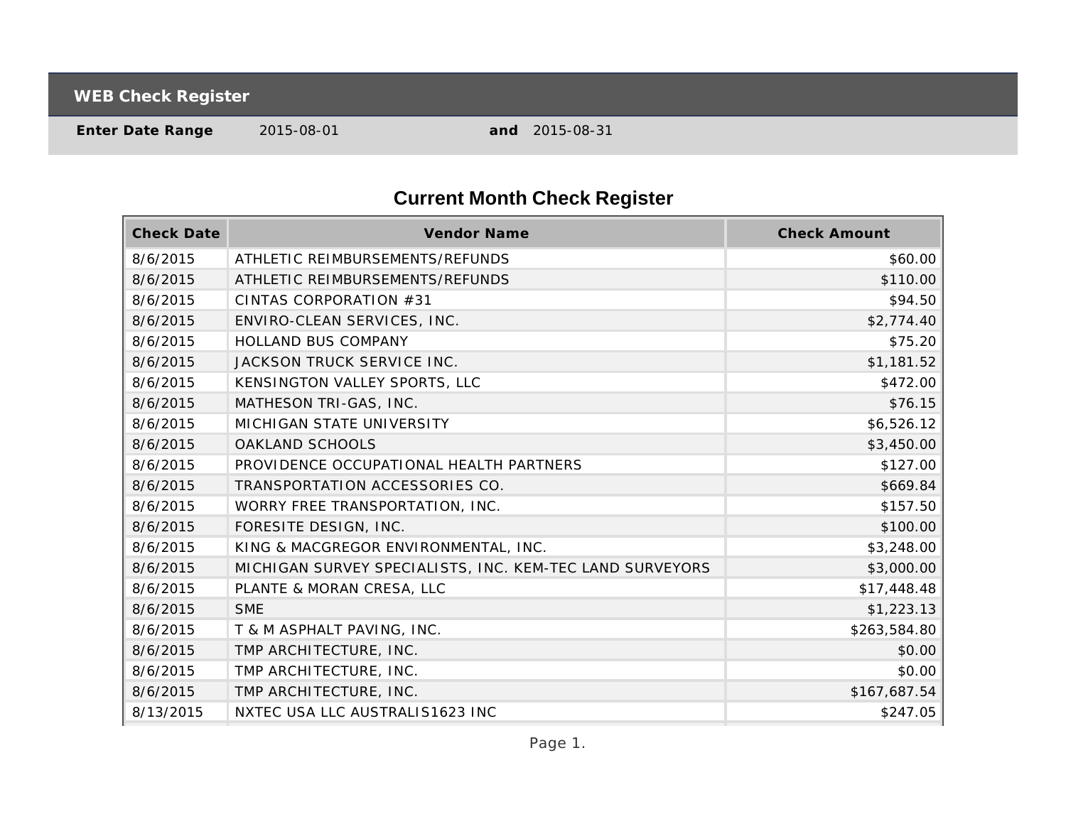**WEB Check Register**

**Enter Date Range** 2015-08-01 **and** 2015-08-31

# **Current Month Check Register**

| <b>Check Date</b> | Vendor Name                                              | <b>Check Amount</b> |
|-------------------|----------------------------------------------------------|---------------------|
| 8/6/2015          | ATHLETIC REIMBURSEMENTS/REFUNDS                          | \$60.00             |
| 8/6/2015          | ATHLETIC REIMBURSEMENTS/REFUNDS                          | \$110.00            |
| 8/6/2015          | CINTAS CORPORATION #31                                   | \$94.50             |
| 8/6/2015          | ENVIRO-CLEAN SERVICES, INC.                              | \$2,774.40          |
| 8/6/2015          | HOLLAND BUS COMPANY                                      | \$75.20             |
| 8/6/2015          | JACKSON TRUCK SERVICE INC.                               | \$1,181.52          |
| 8/6/2015          | KENSINGTON VALLEY SPORTS, LLC                            | \$472.00            |
| 8/6/2015          | MATHESON TRI-GAS, INC.                                   | \$76.15             |
| 8/6/2015          | MICHIGAN STATE UNIVERSITY                                | \$6,526.12          |
| 8/6/2015          | <b>OAKLAND SCHOOLS</b>                                   | \$3,450.00          |
| 8/6/2015          | PROVIDENCE OCCUPATIONAL HEALTH PARTNERS                  | \$127.00            |
| 8/6/2015          | TRANSPORTATION ACCESSORIES CO.                           | \$669.84            |
| 8/6/2015          | WORRY FREE TRANSPORTATION, INC.                          | \$157.50            |
| 8/6/2015          | FORESITE DESIGN, INC.                                    | \$100.00            |
| 8/6/2015          | KING & MACGREGOR ENVIRONMENTAL, INC.                     | \$3,248.00          |
| 8/6/2015          | MICHIGAN SURVEY SPECIALISTS, INC. KEM-TEC LAND SURVEYORS | \$3,000.00          |
| 8/6/2015          | PLANTE & MORAN CRESA, LLC                                | \$17,448.48         |
| 8/6/2015          | <b>SME</b>                                               | \$1,223.13          |
| 8/6/2015          | T & M ASPHALT PAVING, INC.                               | \$263,584.80        |
| 8/6/2015          | TMP ARCHITECTURE, INC.                                   | \$0.00              |
| 8/6/2015          | TMP ARCHITECTURE, INC.                                   | \$0.00              |
| 8/6/2015          | TMP ARCHITECTURE, INC.                                   | \$167,687.54        |
| 8/13/2015         | NXTEC USA LLC AUSTRALIS1623 INC                          | \$247.05            |